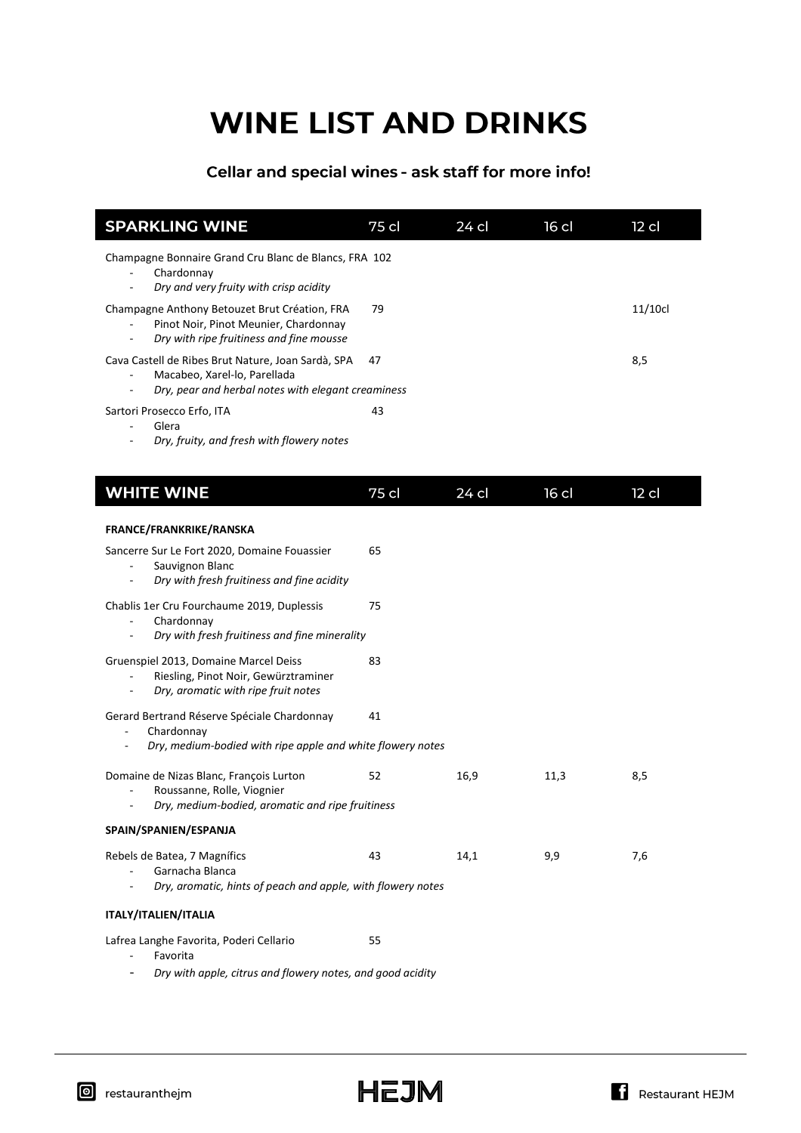# **WINE LIST AND DRINKS**

## Cellar and special wines - ask staff for more info!

| <b>SPARKLING WINE</b>                                                                                                                                | 75 cl | 24 cl | $16$ cl | $12$ cl |
|------------------------------------------------------------------------------------------------------------------------------------------------------|-------|-------|---------|---------|
| Champagne Bonnaire Grand Cru Blanc de Blancs, FRA 102<br>Chardonnay<br>Dry and very fruity with crisp acidity<br>$\blacksquare$                      |       |       |         |         |
| Champagne Anthony Betouzet Brut Création, FRA<br>Pinot Noir, Pinot Meunier, Chardonnay<br>$\blacksquare$<br>Dry with ripe fruitiness and fine mousse | 79    |       |         | 11/10c  |
| Cava Castell de Ribes Brut Nature, Joan Sardà, SPA<br>Macabeo, Xarel-lo, Parellada<br>÷,<br>Dry, pear and herbal notes with elegant creaminess       | 47    |       |         | 8,5     |
| Sartori Prosecco Erfo, ITA<br>Glera<br>Dry, fruity, and fresh with flowery notes                                                                     | 43    |       |         |         |
| <b>WHITE WINE</b>                                                                                                                                    | 75 cl | 24 cl | $16$ cl | $12$ cl |
| FRANCE/FRANKRIKE/RANSKA                                                                                                                              |       |       |         |         |
| Sancerre Sur Le Fort 2020, Domaine Fouassier<br>Sauvignon Blanc<br>Dry with fresh fruitiness and fine acidity                                        | 65    |       |         |         |
| Chablis 1er Cru Fourchaume 2019, Duplessis<br>Chardonnay<br>Dry with fresh fruitiness and fine minerality                                            | 75    |       |         |         |
| Gruenspiel 2013, Domaine Marcel Deiss<br>Riesling, Pinot Noir, Gewürztraminer<br>Dry, aromatic with ripe fruit notes                                 | 83    |       |         |         |
| Gerard Bertrand Réserve Spéciale Chardonnay<br>Chardonnay<br>$\blacksquare$<br>Dry, medium-bodied with ripe apple and white flowery notes            | 41    |       |         |         |
| Domaine de Nizas Blanc, François Lurton<br>Roussanne, Rolle, Viognier<br>Dry, medium-bodied, aromatic and ripe fruitiness                            | 52    | 16,9  | 11,3    | 8,5     |
| SPAIN/SPANIEN/ESPANJA                                                                                                                                |       |       |         |         |
| Rebels de Batea, 7 Magnífics<br>Garnacha Blanca<br>Dry, aromatic, hints of peach and apple, with flowery notes                                       | 43    | 14,1  | 9,9     | 7,6     |
| <b>ITALY/ITALIEN/ITALIA</b>                                                                                                                          |       |       |         |         |
| Lafrea Langhe Favorita, Poderi Cellario<br>Favorita                                                                                                  | 55    |       |         |         |

Dry with apple, citrus and flowery notes, and good acidity  $\overline{\phantom{a}}$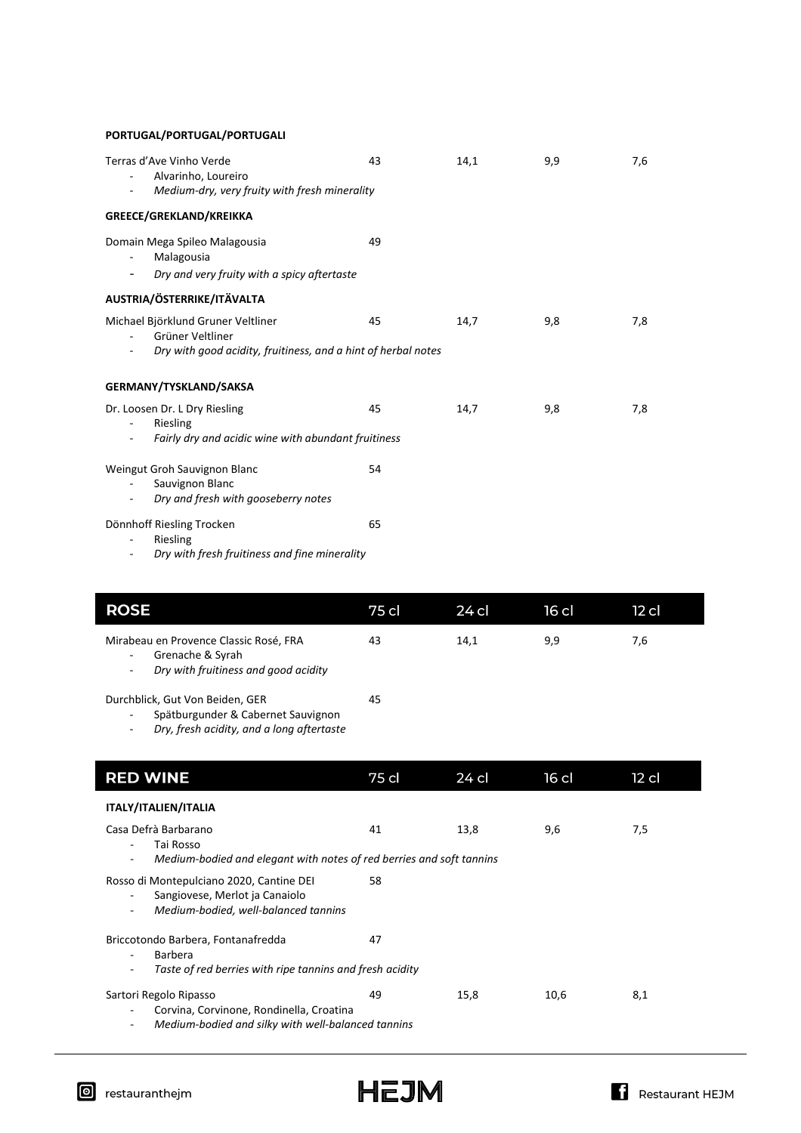**PORTUGAL/PORTUGAL/PORTUGALI**

| Terras d'Ave Vinho Verde<br>Alvarinho, Loureiro<br>Medium-dry, very fruity with fresh minerality                                                                                | 43 | 14,1 | 9,9 | 7,6 |
|---------------------------------------------------------------------------------------------------------------------------------------------------------------------------------|----|------|-----|-----|
| GREECE/GREKLAND/KREIKKA                                                                                                                                                         |    |      |     |     |
| Domain Mega Spileo Malagousia<br>Malagousia<br>Dry and very fruity with a spicy aftertaste<br>$\overline{\phantom{a}}$                                                          | 49 |      |     |     |
| AUSTRIA/ÖSTERRIKE/ITÄVALTA                                                                                                                                                      |    |      |     |     |
| Michael Björklund Gruner Veltliner<br>Grüner Veltliner<br>$\overline{\phantom{0}}$<br>Dry with good acidity, fruitiness, and a hint of herbal notes<br>$\overline{\phantom{a}}$ | 45 | 14,7 | 9,8 | 7,8 |
| <b>GERMANY/TYSKLAND/SAKSA</b>                                                                                                                                                   |    |      |     |     |
| Dr. Loosen Dr. L Dry Riesling<br>Riesling<br>$\overline{\phantom{a}}$<br>Fairly dry and acidic wine with abundant fruitiness<br>$\sim$                                          | 45 | 14,7 | 9,8 | 7,8 |
| Weingut Groh Sauvignon Blanc<br>Sauvignon Blanc<br>Dry and fresh with gooseberry notes<br>$\sim$                                                                                | 54 |      |     |     |
| Dönnhoff Riesling Trocken<br>Riesling<br>Dry with fresh fruitiness and fine minerality                                                                                          | 65 |      |     |     |

| <b>ROSE</b>                                                                                                                                                | 75 cl | 24 cl | $16$ cl | $12$ cl |
|------------------------------------------------------------------------------------------------------------------------------------------------------------|-------|-------|---------|---------|
| Mirabeau en Provence Classic Rosé, FRA<br>Grenache & Syrah<br>$\overline{\phantom{a}}$<br>Dry with fruitiness and good acidity<br>$\overline{\phantom{a}}$ | 43    | 14,1  | 9,9     | 7,6     |
| Durchblick, Gut Von Beiden, GER<br>Spätburgunder & Cabernet Sauvignon<br>$\overline{\phantom{a}}$<br>Dry, fresh acidity, and a long aftertaste<br>٠        | 45    |       |         |         |
| <b>RED WINE</b>                                                                                                                                            | 75 cl | 24 cl | 16 cl   | $12$ cl |
| ITALY/ITALIEN/ITALIA                                                                                                                                       |       |       |         |         |
| Casa Defrà Barbarano<br>Tai Rosso<br>Medium-bodied and elegant with notes of red berries and soft tannins<br>٠                                             | 41    | 13,8  | 9,6     | 7,5     |
| Rosso di Montepulciano 2020, Cantine DEI<br>Sangiovese, Merlot ja Canaiolo<br>$\blacksquare$<br>Medium-bodied, well-balanced tannins<br>٠                  | 58    |       |         |         |
| Briccotondo Barbera, Fontanafredda<br><b>Barbera</b><br>$\blacksquare$<br>Taste of red berries with ripe tannins and fresh acidity<br>٠                    | 47    |       |         |         |
| Sartori Regolo Ripasso<br>Corvina, Corvinone, Rondinella, Croatina<br>٠<br>Medium-bodied and silky with well-balanced tannins<br>٠                         | 49    | 15,8  | 10,6    | 8,1     |

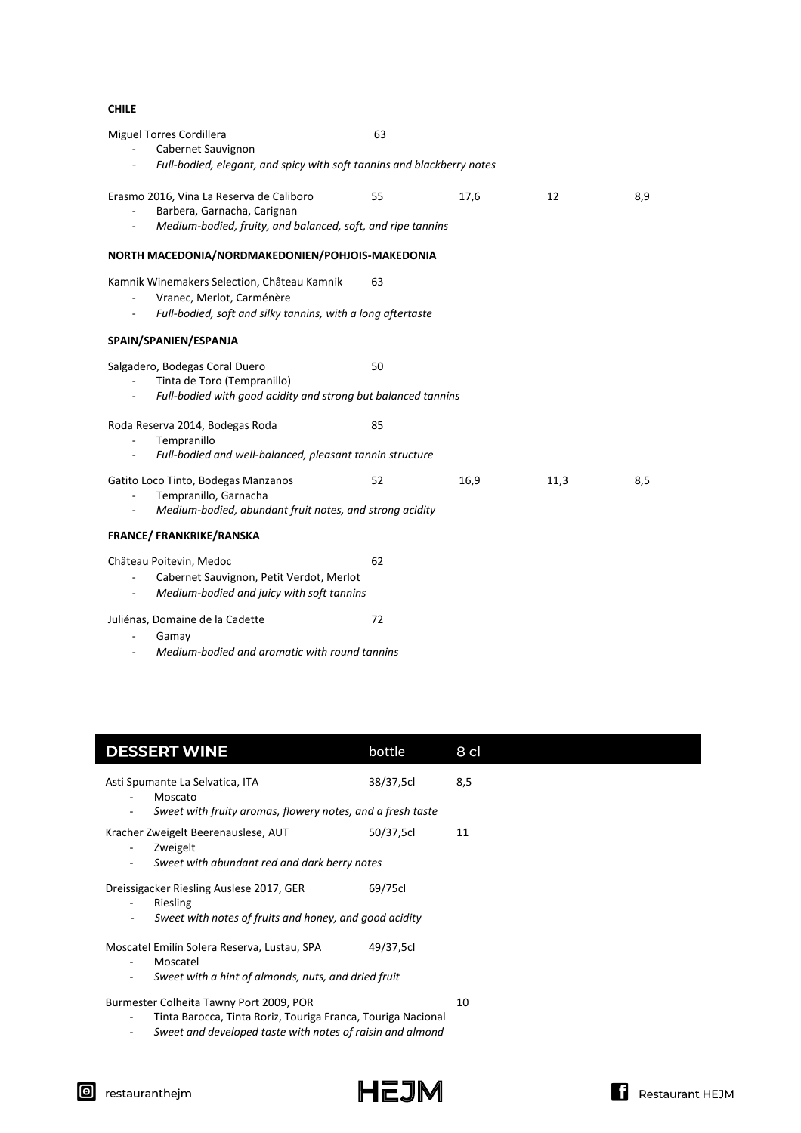#### **CHILE**

| <b>Miguel Torres Cordillera</b><br>Cabernet Sauvignon                                                                                                                                          | 63 |      |      |     |
|------------------------------------------------------------------------------------------------------------------------------------------------------------------------------------------------|----|------|------|-----|
| Full-bodied, elegant, and spicy with soft tannins and blackberry notes<br>$\overline{\phantom{a}}$                                                                                             |    |      |      |     |
| Erasmo 2016, Vina La Reserva de Caliboro<br>Barbera, Garnacha, Carignan<br>$\overline{\phantom{a}}$<br>Medium-bodied, fruity, and balanced, soft, and ripe tannins<br>$\overline{\phantom{a}}$ | 55 | 17,6 | 12   | 8,9 |
| NORTH MACEDONIA/NORDMAKEDONIEN/POHJOIS-MAKEDONIA                                                                                                                                               |    |      |      |     |
| Kamnik Winemakers Selection, Château Kamnik<br>Vranec, Merlot, Carménère<br>Full-bodied, soft and silky tannins, with a long aftertaste                                                        | 63 |      |      |     |
| SPAIN/SPANIEN/ESPANJA                                                                                                                                                                          |    |      |      |     |
| Salgadero, Bodegas Coral Duero<br>Tinta de Toro (Tempranillo)<br>Full-bodied with good acidity and strong but balanced tannins                                                                 | 50 |      |      |     |
| Roda Reserva 2014, Bodegas Roda<br>Tempranillo<br>$\overline{\phantom{a}}$<br>Full-bodied and well-balanced, pleasant tannin structure<br>$\overline{\phantom{a}}$                             | 85 |      |      |     |
| Gatito Loco Tinto, Bodegas Manzanos<br>Tempranillo, Garnacha<br>$\overline{\phantom{a}}$<br>Medium-bodied, abundant fruit notes, and strong acidity<br>$\overline{\phantom{a}}$                | 52 | 16,9 | 11,3 | 8,5 |
| <b>FRANCE/ FRANKRIKE/RANSKA</b>                                                                                                                                                                |    |      |      |     |
| Château Poitevin, Medoc<br>Cabernet Sauvignon, Petit Verdot, Merlot<br>Medium-bodied and juicy with soft tannins<br>$\overline{\phantom{a}}$                                                   | 62 |      |      |     |
| Juliénas, Domaine de la Cadette<br>Gamay                                                                                                                                                       | 72 |      |      |     |

- *Medium-bodied and aromatic with round tannins*

| <b>DESSERT WINE</b>                                                                                                                                                            | bottle    | 8 cl |
|--------------------------------------------------------------------------------------------------------------------------------------------------------------------------------|-----------|------|
| Asti Spumante La Selvatica, ITA<br>Moscato<br>٠<br>Sweet with fruity aromas, flowery notes, and a fresh taste<br>۰                                                             | 38/37,5cl | 8,5  |
| Kracher Zweigelt Beerenauslese, AUT<br>Zweigelt<br>Sweet with abundant red and dark berry notes<br>۰.                                                                          | 50/37,5cl | 11   |
| Dreissigacker Riesling Auslese 2017, GER<br>Riesling<br>٠<br>Sweet with notes of fruits and honey, and good acidity<br>$\overline{\phantom{a}}$                                | 69/75cl   |      |
| Moscatel Emilín Solera Reserva, Lustau, SPA<br>Moscatel<br>Sweet with a hint of almonds, nuts, and dried fruit<br>$\overline{\phantom{0}}$                                     | 49/37,5cl |      |
| Burmester Colheita Tawny Port 2009, POR<br>Tinta Barocca, Tinta Roriz, Touriga Franca, Touriga Nacional<br>-<br>Sweet and developed taste with notes of raisin and almond<br>- |           | 10   |